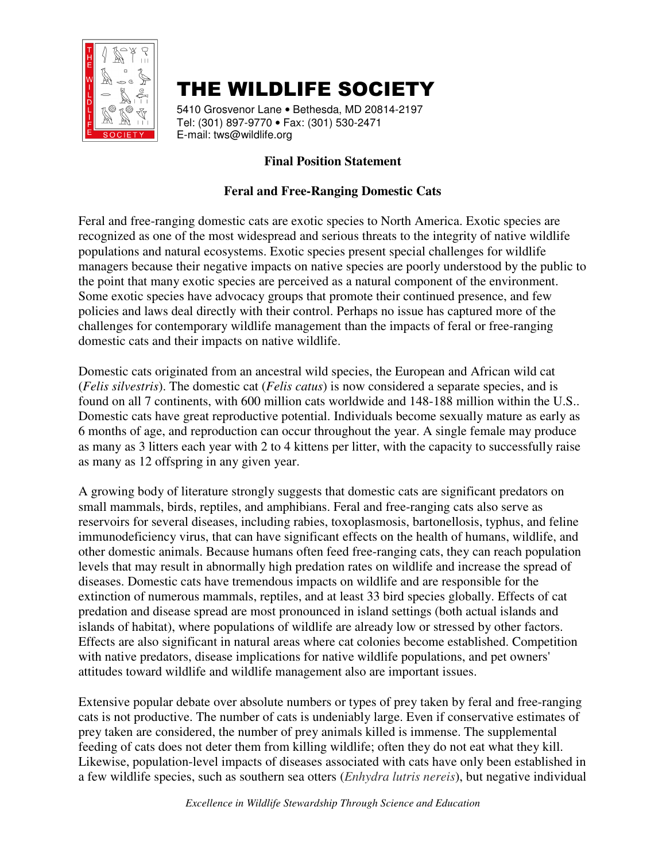

## THE WILDLIFE SOCIETY

5410 Grosvenor Lane • Bethesda, MD 20814-2197 Tel: (301) 897-9770 • Fax: (301) 530-2471 E-mail: tws@wildlife.org

## **Final Position Statement**

## **Feral and Free-Ranging Domestic Cats**

Feral and free-ranging domestic cats are exotic species to North America. Exotic species are recognized as one of the most widespread and serious threats to the integrity of native wildlife populations and natural ecosystems. Exotic species present special challenges for wildlife managers because their negative impacts on native species are poorly understood by the public to the point that many exotic species are perceived as a natural component of the environment. Some exotic species have advocacy groups that promote their continued presence, and few policies and laws deal directly with their control. Perhaps no issue has captured more of the challenges for contemporary wildlife management than the impacts of feral or free-ranging domestic cats and their impacts on native wildlife.

Domestic cats originated from an ancestral wild species, the European and African wild cat (*Felis silvestris*). The domestic cat (*Felis catus*) is now considered a separate species, and is found on all 7 continents, with 600 million cats worldwide and 148-188 million within the U.S.. Domestic cats have great reproductive potential. Individuals become sexually mature as early as 6 months of age, and reproduction can occur throughout the year. A single female may produce as many as 3 litters each year with 2 to 4 kittens per litter, with the capacity to successfully raise as many as 12 offspring in any given year.

A growing body of literature strongly suggests that domestic cats are significant predators on small mammals, birds, reptiles, and amphibians. Feral and free-ranging cats also serve as reservoirs for several diseases, including rabies, toxoplasmosis, bartonellosis, typhus, and feline immunodeficiency virus, that can have significant effects on the health of humans, wildlife, and other domestic animals. Because humans often feed free-ranging cats, they can reach population levels that may result in abnormally high predation rates on wildlife and increase the spread of diseases. Domestic cats have tremendous impacts on wildlife and are responsible for the extinction of numerous mammals, reptiles, and at least 33 bird species globally. Effects of cat predation and disease spread are most pronounced in island settings (both actual islands and islands of habitat), where populations of wildlife are already low or stressed by other factors. Effects are also significant in natural areas where cat colonies become established. Competition with native predators, disease implications for native wildlife populations, and pet owners' attitudes toward wildlife and wildlife management also are important issues.

Extensive popular debate over absolute numbers or types of prey taken by feral and free-ranging cats is not productive. The number of cats is undeniably large. Even if conservative estimates of prey taken are considered, the number of prey animals killed is immense. The supplemental feeding of cats does not deter them from killing wildlife; often they do not eat what they kill. Likewise, population-level impacts of diseases associated with cats have only been established in a few wildlife species, such as southern sea otters (*Enhydra lutris nereis*), but negative individual